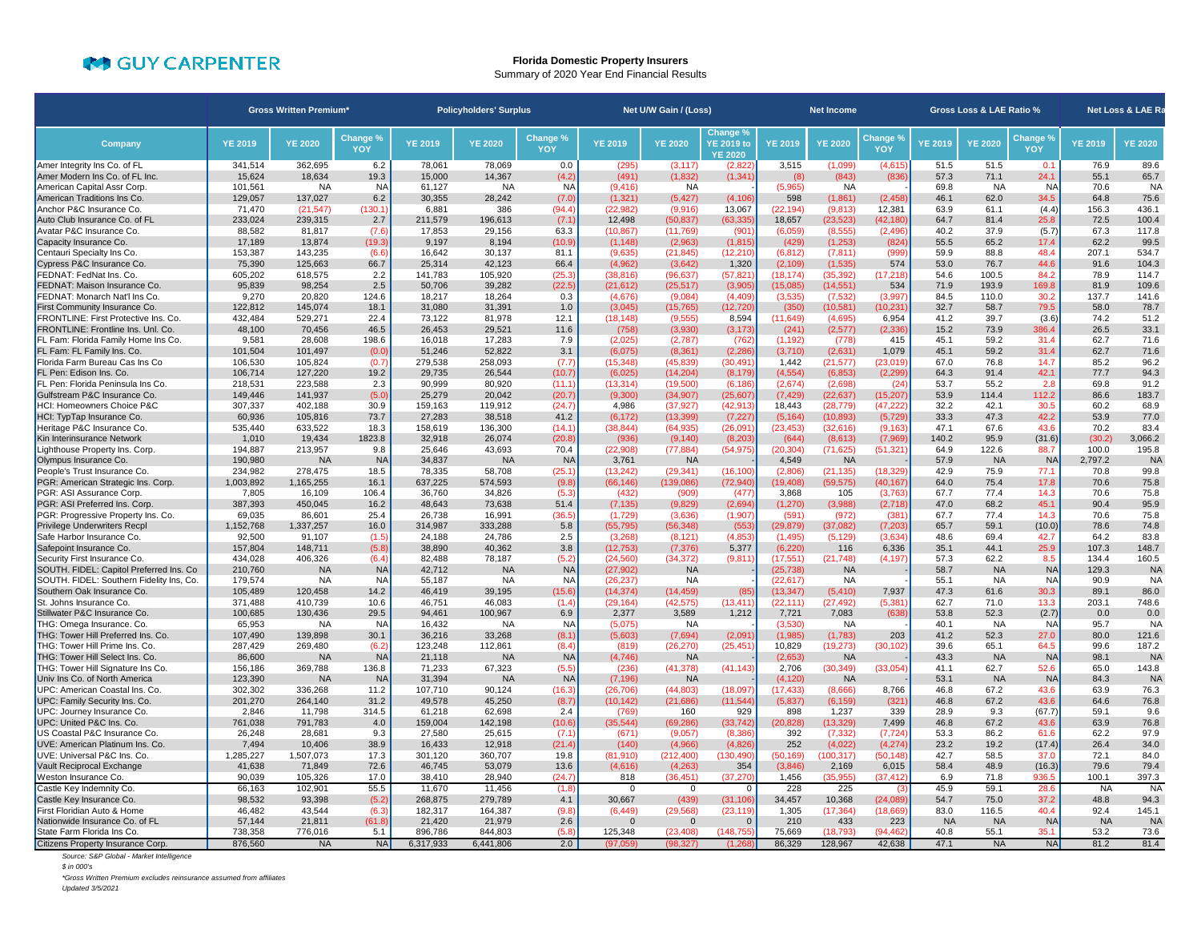## **COLY CARPENTER**

## **Florida Domestic Property Insurers** Summary of 2020 Year End Financial Results

|                                                                 | <b>Gross Written Premium*</b> |                      |                    | <b>Policyholders' Surplus</b> |                     |                    | Net U/W Gain / (Loss) |                        |                                                 | <b>Net Income</b>     |                       |                       | Gross Loss & LAE Ratio % |                   |                   | Net Loss & LAE Ra |                    |
|-----------------------------------------------------------------|-------------------------------|----------------------|--------------------|-------------------------------|---------------------|--------------------|-----------------------|------------------------|-------------------------------------------------|-----------------------|-----------------------|-----------------------|--------------------------|-------------------|-------------------|-------------------|--------------------|
| Company                                                         | <b>YE 2019</b>                | <b>YE 2020</b>       | Change %<br>YOY    | <b>YE 2019</b>                | <b>YE 2020</b>      | Change %<br>YOY    | <b>YE 2019</b>        | <b>YE 2020</b>         | Change 9<br><b>YE 2019 to</b><br><b>YE 2020</b> | <b>YE 2019</b>        | <b>YE 2020</b>        | Change 9<br>YOY       | YE 2019                  | <b>YE 2020</b>    | Change %<br>YOY   | <b>YE 2019</b>    | <b>YE 2020</b>     |
| Amer Integrity Ins Co. of FL                                    | 341.514                       | 362.695              | 6.2                | 78,061                        | 78.069              | 0.0                | (295)                 | (3, 117)               | (2,822)                                         | 3,515                 | (1,099)               | (4,615)               | 51.5                     | 51.5              | 0.1               | 76.9              | 89.6               |
| Amer Modern Ins Co. of FL Inc.                                  | 15,624                        | 18,634               | 19.3               | 15,000                        | 14,367              | (4.2)              | (491)                 | (1,832)                | (1, 341)                                        | (8)                   | (843)                 | (836)                 | 57.3                     | 71.1              | 24.1              | 55.1              | 65.7               |
| American Capital Assr Corp.                                     | 101,561                       | <b>NA</b>            | <b>NA</b>          | 61,127                        | <b>NA</b>           | <b>NA</b>          | (9, 416)              | NA                     |                                                 | (5,965)               | NA                    |                       | 69.8                     | <b>NA</b>         | <b>NA</b>         | 70.6              | <b>NA</b>          |
| American Traditions Ins Co.                                     | 129,057                       | 137,027              | 6.2                | 30,355                        | 28,242              | (7.0)              | (1, 321)              | (5, 427)               | (4, 106)                                        | 598                   | (1, 861)              | (2, 458)              | 46.1                     | 62.0              | 34.5              | 64.8              | 75.6               |
| Anchor P&C Insurance Co.                                        | 71,470<br>233.024             | (21.547)             | (130.1)            | 6.881                         | 386                 | (94.4)             | (22.982)              | (9.916)                | 13.067                                          | (22.194)              | (9.813)               | 12.381                | 63.9                     | 61.1              | (4.4)             | 156.3<br>72.5     | 436.1              |
| Auto Club Insurance Co. of FL<br>Avatar P&C Insurance Co.       | 88,582                        | 239,315<br>81,817    | 2.7<br>(7.6)       | 211,579<br>17,853             | 196,613<br>29,156   | (7.1)<br>63.3      | 12,498<br>(10, 867)   | (50, 837)<br>(11,769)  | (63, 335)<br>(901)                              | 18,657<br>(6,059)     | (23, 523)<br>(8, 555) | (42, 180)<br>(2, 496) | 64.7<br>40.2             | 81.4<br>37.9      | 25.8<br>(5.7)     | 67.3              | 100.4<br>117.8     |
| Capacity Insurance Co.                                          | 17,189                        | 13,874               | (19.3)             | 9,197                         | 8,194               | (10.9)             | (1, 148)              | (2,963)                | (1,815)                                         | (429)                 | (1, 253)              | (824)                 | 55.5                     | 65.2              | 17.4              | 62.2              | 99.5               |
| Centauri Specialty Ins Co                                       | 153,387                       | 143,235              | (6.6)              | 16,642                        | 30,137              | 81.1               | (9,635)               | (21, 845)              | (12, 210)                                       | (6, 812)              | (7, 811)              | (999                  | 59.9                     | 88.8              | 48.4              | 207.1             | 534.7              |
| Cypress P&C Insurance Co                                        | 75,390                        | 125,663              | 66.7               | 25,314                        | 42,123              | 66.4               | (4,962)               | (3,642)                | 1,320                                           | (2,109)               | (1, 535)              | 574                   | 53.0                     | 76.7              | 44.6              | 91.6              | 104.3              |
| FEDNAT: FedNat Ins. Co.                                         | 605,202                       | 618,575              | 2.2                | 141,783                       | 105,920             | (25.3)             | (38, 816)             | (96, 637)              | (57.821                                         | (18.174)              | (35, 392)             | (17, 218)             | 54.6                     | 100.5             | 84.2              | 78.9              | 114.7              |
| FEDNAT: Maison Insurance Co.                                    | 95,839                        | 98,254               | 2.5                | 50,706                        | 39,282              | (22.5)             | (21, 612)             | (25, 517)              | (3,905)                                         | (15,085)              | (14, 551)             | 534                   | 71.9                     | 193.9             | 169.8             | 81.9              | 109.6              |
| FEDNAT: Monarch Nat'l Ins Co.                                   | 9,270                         | 20.820               | 124.6              | 18,217                        | 18,264              | 0.3                | (4,676)               | (9,084)                | (4, 409)                                        | (3,535)               | (7, 532)              | (3,997)               | 84.5                     | 110.0             | 30.2              | 137.7             | 141.6              |
| First Community Insurance Co.                                   | 122.812                       | 145.074              | 18.1               | 31.080                        | 31.391              | 1.0                | (3,045)               | (15, 765)              | 12,720                                          | (350)                 | (10, 581)             | 10,231                | 32.7                     | 58.7              | 79.5              | 58.0              | 78.7               |
| FRONTLINE: First Protective Ins. Co.                            | 432,484                       | 529,271              | 22.4               | 73,122                        | 81,978              | 12.1               | (18, 148)             | (9,555)                | 8,594                                           | (11, 649)             | (4,695)               | 6,954                 | 41.2                     | 39.7              | (3.6)             | 74.2              | 51.2               |
| FRONTLINE: Frontline Ins. Unl. Co.                              | 48,100                        | 70,456               | 46.5               | 26,453                        | 29,521              | 11.6               | (758)                 | (3,930)                | (3, 173)                                        | (241)                 | (2,577)               | (2, 336)              | 15.2                     | 73.9              | 386.4             | 26.5              | 33.1               |
| FL Fam: Florida Family Home Ins Co.                             | 9,581                         | 28,608               | 198.6              | 16.018                        | 17.283              | 7.9                | (2,025)               | (2,787)                | (762)                                           | (1, 192)              | (778)                 | 415                   | 45.1                     | 59.2              | 31.4              | 62.7              | 71.6               |
| FL Fam: FL Family Ins. Co.                                      | 101,504                       | 101,497              | (0.0)              | 51,246                        | 52,822              | 3.1                | (6,075)               | (8, 361)               | (2, 286)                                        | (3,710)               | (2,631)               | 1,079                 | 45.1                     | 59.2              | 31.4              | 62.7              | 71.6               |
| Florida Farm Bureau Cas Ins Co                                  | 106,530                       | 105,824              | (0.7)              | 279,538                       | 258,093             | (7.7)              | (15, 348)             | (45, 839)              | (30, 491)                                       | 1,442                 | (21, 577)             | (23, 019)             | 67.0                     | 76.8              | 14.7              | 85.2              | 96.2               |
| FL Pen: Edison Ins. Co.<br>FL Pen: Florida Peninsula Ins Co.    | 106,714<br>218,531            | 127,220<br>223,588   | 19.2<br>2.3        | 29,735<br>90,999              | 26,544<br>80,920    | (10.7)             | (6,025)<br>(13, 314)  | (14, 204)<br>(19,500)  | (8, 179)<br>(6, 186)                            | (4, 554)<br>(2,674)   | (6, 853)<br>(2,698)   | (2, 299)<br>(24)      | 64.3<br>53.7             | 91.4<br>55.2      | 42.1<br>2.8       | 77.7<br>69.8      | 94.3<br>91.2       |
| Gulfstream P&C Insurance Co.                                    | 149,446                       | 141,937              | (5.0)              | 25,279                        | 20,042              | (11.1)<br>(20.7)   | (9,300)               | (34, 907)              | (25,607)                                        | (7, 429)              | (22, 637)             | (15, 207)             | 53.9                     | 114.4             | 112.2             | 86.6              | 183.7              |
| <b>HCI: Homeowners Choice P&amp;C</b>                           | 307.337                       | 402.188              | 30.9               | 159.163                       | 119.912             | (24.7)             | 4.986                 | (37.927)               | (42.913)                                        | 18.443                | (28.779)              | (47.222)              | 32.2                     | 42.1              | 30.5              | 60.2              | 68.9               |
| HCI: TypTap Insurance Co.                                       | 60,936                        | 105,816              | 73.7               | 27,283                        | 38,518              | 41.2               | (6, 172)              | (13, 399)              | (7, 227)                                        | (5, 164)              | (10, 893)             | (5,729)               | 33.3                     | 47.3              | 42.2              | 53.9              | 77.0               |
| Heritage P&C Insurance Co.                                      | 535,440                       | 633,522              | 18.3               | 158,619                       | 136,300             | (14.1)             | (38, 844)             | (64, 935)              | (26,091                                         | (23, 453)             | (32,616)              | (9,163)               | 47.1                     | 67.6              | 43.6              | 70.2              | 83.4               |
| Kin Interinsurance Network                                      | 1,010                         | 19,434               | 1823.8             | 32,918                        | 26,074              | (20.8)             | (936)                 | (9, 140)               | (8, 203)                                        | (644)                 | (8,613)               | (7,969)               | 140.2                    | 95.9              | (31.6)            | (30.2)            | 3,066.2            |
| Lighthouse Property Ins. Corp.                                  | 194,887                       | 213,957              | 9.8                | 25,646                        | 43,693              | 70.4               | (22,908)              | (77, 884)              | (54, 975)                                       | (20, 304)             | (71, 625)             | (51, 321)             | 64.9                     | 122.6             | 88.7              | 100.0             | 195.8              |
| Olympus Insurance Co.                                           | 190,980                       | <b>NA</b>            | <b>NA</b>          | 34,837                        | <b>NA</b>           | <b>NA</b>          | 3,761                 | <b>NA</b>              |                                                 | 4,549                 | <b>NA</b>             |                       | 57.9                     | <b>NA</b>         | <b>NA</b>         | 2,797.2           | <b>NA</b>          |
| People's Trust Insurance Co                                     | 234.982                       | 278.475              | 18.5               | 78.335                        | 58.708              | (25.1)             | (13, 242)             | (29.341)               | (16.100                                         | (2.806)               | (21.135)              | (18.329               | 42.9                     | 75.9              | 77.1              | 70.8              | 99.8               |
| PGR: American Strategic Ins. Corp.                              | 1,003,892                     | 1,165,255            | 16.1               | 637,225                       | 574,593             | (9.8)              | (66, 146)             | (139,086)              | (72, 940)                                       | 19,408)               | (59, 575)             | (40, 167)             | 64.0                     | 75.4              | 17.8              | 70.6              | 75.8               |
| PGR: ASI Assurance Corp.                                        | 7,805                         | 16,109               | 106.4              | 36,760                        | 34,826              | (5.3)              | (432)                 | (909)                  | (477)                                           | 3,868                 | 105                   | (3,763)               | 67.7                     | 77.4              | 14.3              | 70.6              | 75.8               |
| PGR: ASI Preferred Ins. Corp                                    | 387,393                       | 450.045              | 16.2               | 48,643                        | 73,638              | 51.4               | (7, 135)              | (9,829)                | (2,694)                                         | (1, 270)              | (3,988)               | (2,718)               | 47.0                     | 68.2              | 45.1              | 90.4              | 95.9               |
| PGR: Progressive Property Ins. Co.                              | 69,035                        | 86,601               | 25.4               | 26,738                        | 16,991              | (36.5)             | (1,729)               | (3,636)                | (1,907)                                         | (591)                 | (972)                 | (381)                 | 67.7                     | 77.4              | 14.3              | 70.6              | 75.8               |
| Privilege Underwriters Recpl                                    | 1,152,768                     | 1,337,257            | 16.0               | 314,987                       | 333,288             | 5.8                | (55, 795)             | (56, 348)              | (553)<br>(4.853)                                | (29, 879)             | (37, 082)             | (7, 203)<br>(3.634)   | 65.7                     | 59.1              | (10.0)            | 78.6<br>64.2      | 74.8               |
| Safe Harbor Insurance Co<br>Safepoint Insurance Co.             | 92,500<br>157,804             | 91,107<br>148,711    | (1.5)<br>(5.8)     | 24,188<br>38,890              | 24,786<br>40,362    | 2.5<br>3.8         | (3,268)<br>(12, 753)  | (8, 121)<br>(7, 376)   | 5,377                                           | (1, 495)<br>(6, 220)  | (5, 129)<br>116       | 6,336                 | 48.6<br>35.1             | 69.4<br>44.1      | 42.7<br>25.9      | 107.3             | 83.8<br>148.7      |
| Security First Insurance Co.                                    | 434.028                       | 406,326              | (6.4)              | 82.488                        | 78,187              | (5.2)              | (24, 560)             | (34, 372)              | (9.81)                                          | (17, 551)             | (21, 748)             | (4, 197)              | 57.3                     | 62.2              | 8.5               | 134.4             | 160.5              |
| SOUTH. FIDEL: Capitol Preferred Ins. Co.                        | 210,760                       | <b>NA</b>            | <b>NA</b>          | 42.712                        | <b>NA</b>           | <b>NA</b>          | (27, 902)             | <b>NA</b>              |                                                 | (25, 738)             | <b>NA</b>             |                       | 58.7                     | <b>NA</b>         | <b>NA</b>         | 129.3             | <b>NA</b>          |
| SOUTH. FIDEL: Southern Fidelity Ins, Co.                        | 179,574                       | <b>NA</b>            | N <sub>A</sub>     | 55,187                        | <b>NA</b>           | <b>NA</b>          | (26, 237)             | <b>NA</b>              |                                                 | (22, 617)             | <b>NA</b>             |                       | 55.1                     | <b>NA</b>         | <b>NA</b>         | 90.9              | <b>NA</b>          |
| Southern Oak Insurance Co.                                      | 105,489                       | 120,458              | 14.2               | 46,419                        | 39,195              | (15.6)             | (14, 374)             | (14, 459)              | (85)                                            | (13, 347)             | (5, 410)              | 7,937                 | 47.3                     | 61.6              | 30.3              | 89.1              | 86.0               |
| St. Johns Insurance Co.                                         | 371,488                       | 410,739              | 10.6               | 46,751                        | 46,083              | (1.4)              | (29, 164)             | (42, 575)              | (13.411)                                        | (22, 111)             | (27, 492)             | (5, 381)              | 62.7                     | 71.0              | 13.3              | 203.1             | 748.6              |
| Stillwater P&C Insurance Co.                                    | 100,685                       | 130,436              | 29.5               | 94,461                        | 100,967             | 6.9                | 2,377                 | 3,589                  | 1,212                                           | 7,721                 | 7,083                 | (638)                 | 53.8                     | 52.3              | (2.7)             | 0.0               | 0.0                |
| THG: Omega Insurance. Co.                                       | 65,953                        | <b>NA</b>            | NA                 | 16,432                        | <b>NA</b>           | <b>NA</b>          | (5,075)               | <b>NA</b>              |                                                 | (3,530)               | <b>NA</b>             |                       | 40.1                     | <b>NA</b>         | NA                | 95.7              | <b>NA</b>          |
| THG: Tower Hill Preferred Ins. Co.                              | 107.490                       | 139,898              | 30.1               | 36.216                        | 33,268              | (8.1)              | (5,603)               | (7,694)                | (2,091)                                         | (1,985)               | (1,783)               | 203                   | 41.2                     | 52.3              | 27.0              | 80.0              | 121.6              |
| THG: Tower Hill Prime Ins. Co.                                  | 287,429                       | 269,480              | (6.2)              | 123,248                       | 112,861             | (8.4)              | (819)                 | (26, 270)              | (25, 451)                                       | 10,829                | (19, 273)             | (30, 102)             | 39.6                     | 65.1              | 64.5              | 99.6              | 187.2              |
| THG: Tower Hill Select Ins. Co.                                 | 86,600                        | <b>NA</b>            | <b>NA</b>          | 21,118                        | <b>NA</b>           | <b>NA</b>          | (4,746)               | <b>NA</b>              |                                                 | (2,653)               | <b>NA</b>             |                       | 43.3                     | <b>NA</b>         | <b>NA</b>         | 98.1              | <b>NA</b>          |
| THG: Tower Hill Signature Ins Co.                               | 156,186<br>123,390            | 369,788<br><b>NA</b> | 136.8<br><b>NA</b> | 71,233                        | 67,323              | (5.5)<br><b>NA</b> | (236)                 | (41, 378)<br><b>NA</b> | (41, 143)                                       | 2,706                 | (30, 349)             | (33,054)              | 41.1<br>53.1             | 62.7<br><b>NA</b> | 52.6<br><b>NA</b> | 65.0<br>84.3      | 143.8<br><b>NA</b> |
| Univ Ins Co. of North America<br>UPC: American Coastal Ins. Co. | 302,302                       | 336,268              | 11.2               | 31,394<br>107,710             | <b>NA</b><br>90,124 | (16.3)             | (7, 196)<br>(26, 706) | (44, 803)              | (18,097)                                        | (4, 120)<br>(17, 433) | <b>NA</b><br>(8,666)  | 8,766                 | 46.8                     | 67.2              | 43.6              | 63.9              | 76.3               |
| UPC: Family Security Ins. Co.                                   | 201,270                       | 264.140              | 31.2               | 49,578                        | 45.250              | (8.7)              | (10, 142)             | (21, 686)              | (11, 544)                                       | (5,837)               | (6, 159)              | (321)                 | 46.8                     | 67.2              | 43.6              | 64.6              | 76.8               |
| UPC: Journey Insurance Co.                                      | 2,846                         | 11,798               | 314.5              | 61,218                        | 62,698              | 2.4                | (769)                 | 160                    | 929                                             | 898                   | 1,237                 | 339                   | 28.9                     | 9.3               | (67.7)            | 59.1              | 9.6                |
| UPC: United P&C Ins. Co.                                        | 761,038                       | 791,783              | 4.0                | 159,004                       | 142,198             | (10.6)             | (35, 544)             | (69, 286)              | (33, 742)                                       | (20, 828)             | (13, 329)             | 7,499                 | 46.8                     | 67.2              | 43.6              | 63.9              | 76.8               |
| US Coastal P&C Insurance Co.                                    | 26.248                        | 28,681               | 9.3                | 27,580                        | 25,615              | (7.1)              | (671)                 | (9,057)                | (8.386)                                         | 392                   | (7, 332)              | (7, 724)              | 53.3                     | 86.2              | 61.6              | 62.2              | 97.9               |
| UVE: American Platinum Ins. Co.                                 | 7,494                         | 10,406               | 38.9               | 16,433                        | 12,918              | (21.4)             | (140)                 | (4,966)                | (4,826)                                         | 252                   | (4,022)               | (4,274)               | 23.2                     | 19.2              | (17.4)            | 26.4              | 34.0               |
| UVE: Universal P&C Ins. Co                                      | 1,285,227                     | 1,507,073            | 17.3               | 301,120                       | 360,707             | 19.8               | (81,910)              | (212, 400)             | (130, 490)                                      | (50, 169)             | (100, 317)            | (50, 148)             | 42.7                     | 58.5              | 37.0              | 72.1              | 84.0               |
| Vault Reciprocal Exchange                                       | 41,638                        | 71,849               | 72.6               | 46,745                        | 53,079              | 13.6               | (4,616)               | (4,263)                | 354                                             | (3,846)               | 2,169                 | 6,015                 | 58.4                     | 48.9              | (16.3)            | 79.6              | 79.4               |
| Weston Insurance Co.                                            | 90,039                        | 105,326              | 17.0               | 38,410                        | 28,940              | (24.7)             | 818                   | (36, 451)              | (37, 270)                                       | 1,456                 | (35, 955)             | (37, 412)             | 6.9                      | 71.8              | 936.5             | 100.1             | 397.3              |
| Castle Key Indemnity Co.                                        | 66.163                        | 102.901              | 55.5               | 11.670                        | 11.456              | (1.8)              | $\Omega$              | $\Omega$               | $\Omega$                                        | 228                   | 225                   |                       | 45.9                     | 59.1              | 28.6              | <b>NA</b>         | <b>NA</b>          |
| Castle Key Insurance Co.                                        | 98.532                        | 93,398               | (5.2)              | 268,875                       | 279,789             | 4.1                | 30,667                | (439)                  | (31, 106)                                       | 34,457                | 10,368                | (24.089)              | 54.7                     | 75.0              | 37.2              | 48.8              | 94.3               |
| First Floridian Auto & Home                                     | 46,482                        | 43,544               | (6.3)              | 182,317                       | 164,387             | (9.8)              | (6, 449)              | (29, 568)              | (23, 119)                                       | 1,305                 | (17, 364)             | (18,669)              | 83.0                     | 116.5             | 40.4              | 92.4              | 145.1              |
| Nationwide Insurance Co. of FL                                  | 57.144                        | 21.811               | (61.8)             | 21,420                        | 21,979              | 2.6                |                       | $\Omega$               | $\Omega$                                        | 210                   | 433                   | 223                   | <b>NA</b>                | <b>NA</b>         | <b>NA</b>         | <b>NA</b>         | <b>NA</b>          |
| State Farm Florida Ins Co.                                      | 738.358                       | 776.016              | 5.1                | 896,786                       | 844.803             | (5.8)              | 125,348               | (23.408)               | (148.755                                        | 75.669                | (18.793)              | (94.462               | 40.8                     | 55.1              | 35.1              | 53.2              | 73.6               |
| <b>Citizens Property Insurance Corp</b>                         | 876,560                       | <b>NA</b>            | <b>NA</b>          | 6,317,933                     | 6,441,806           | 2.0                | (97.059)              | (98.327)               | (1.26)                                          | 86,329                | 128,967               | 42,638                | 47.1                     | <b>NA</b>         | <b>NA</b>         | 81.2              | 81.4               |

*Source: S&P Global - Market Intelligence*

*\$ in 000's*

*\*Gross Written Premium excludes reinsurance assumed from affiliates*

*Updated 3/5/2021*